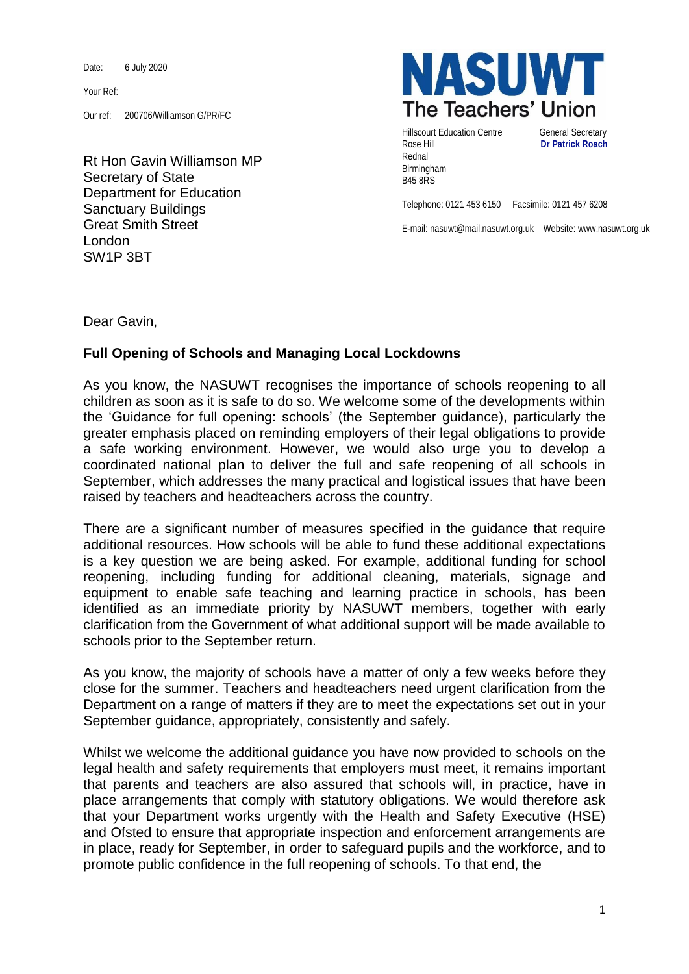Date: 6 July 2020

Your Ref:

Our ref: 200706/Williamson G/PR/FC

Rt Hon Gavin Williamson MP Secretary of State Department for Education Sanctuary Buildings Great Smith Street London SW1P 3BT



Hillscourt Education Centre **General Secretary** Rose Hill **Dr Patrick Roach** Rednal Birmingham B45 8RS

Telephone: 0121 453 6150 Facsimile: 0121 457 6208

E-mail: nasuwt@mail.nasuwt.org.uk Website: www.nasuwt.org.uk

Dear Gavin,

## **Full Opening of Schools and Managing Local Lockdowns**

As you know, the NASUWT recognises the importance of schools reopening to all children as soon as it is safe to do so. We welcome some of the developments within the 'Guidance for full opening: schools' (the September guidance), particularly the greater emphasis placed on reminding employers of their legal obligations to provide a safe working environment. However, we would also urge you to develop a coordinated national plan to deliver the full and safe reopening of all schools in September, which addresses the many practical and logistical issues that have been raised by teachers and headteachers across the country.

There are a significant number of measures specified in the guidance that require additional resources. How schools will be able to fund these additional expectations is a key question we are being asked. For example, additional funding for school reopening, including funding for additional cleaning, materials, signage and equipment to enable safe teaching and learning practice in schools, has been identified as an immediate priority by NASUWT members, together with early clarification from the Government of what additional support will be made available to schools prior to the September return.

As you know, the majority of schools have a matter of only a few weeks before they close for the summer. Teachers and headteachers need urgent clarification from the Department on a range of matters if they are to meet the expectations set out in your September guidance, appropriately, consistently and safely.

Whilst we welcome the additional guidance you have now provided to schools on the legal health and safety requirements that employers must meet, it remains important that parents and teachers are also assured that schools will, in practice, have in place arrangements that comply with statutory obligations. We would therefore ask that your Department works urgently with the Health and Safety Executive (HSE) and Ofsted to ensure that appropriate inspection and enforcement arrangements are in place, ready for September, in order to safeguard pupils and the workforce, and to promote public confidence in the full reopening of schools. To that end, the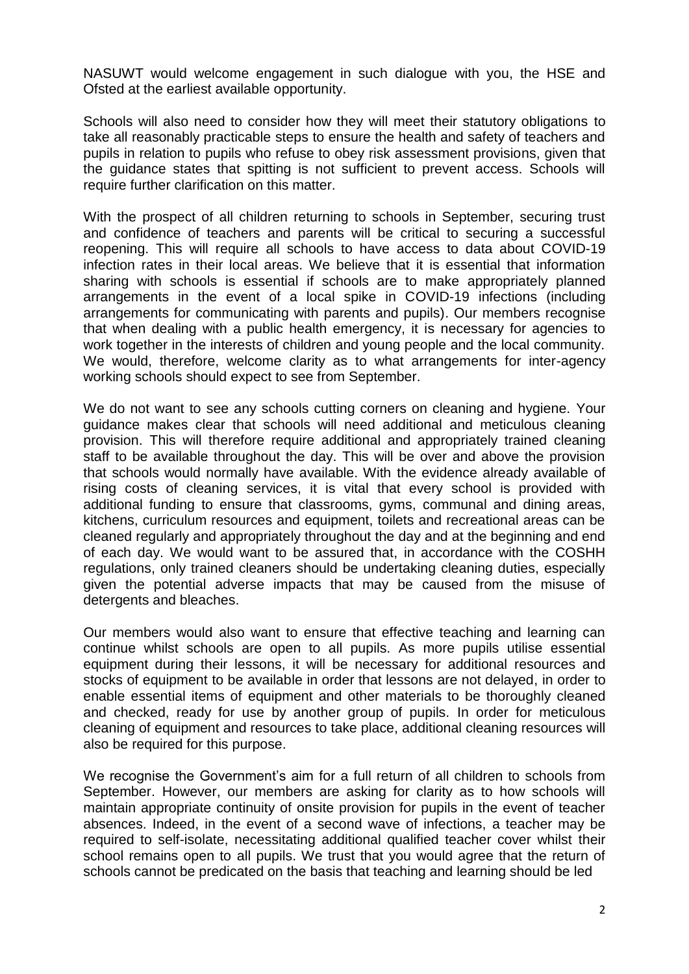NASUWT would welcome engagement in such dialogue with you, the HSE and Ofsted at the earliest available opportunity.

Schools will also need to consider how they will meet their statutory obligations to take all reasonably practicable steps to ensure the health and safety of teachers and pupils in relation to pupils who refuse to obey risk assessment provisions, given that the guidance states that spitting is not sufficient to prevent access. Schools will require further clarification on this matter.

With the prospect of all children returning to schools in September, securing trust and confidence of teachers and parents will be critical to securing a successful reopening. This will require all schools to have access to data about COVID-19 infection rates in their local areas. We believe that it is essential that information sharing with schools is essential if schools are to make appropriately planned arrangements in the event of a local spike in COVID-19 infections (including arrangements for communicating with parents and pupils). Our members recognise that when dealing with a public health emergency, it is necessary for agencies to work together in the interests of children and young people and the local community. We would, therefore, welcome clarity as to what arrangements for inter-agency working schools should expect to see from September.

We do not want to see any schools cutting corners on cleaning and hygiene. Your guidance makes clear that schools will need additional and meticulous cleaning provision. This will therefore require additional and appropriately trained cleaning staff to be available throughout the day. This will be over and above the provision that schools would normally have available. With the evidence already available of rising costs of cleaning services, it is vital that every school is provided with additional funding to ensure that classrooms, gyms, communal and dining areas, kitchens, curriculum resources and equipment, toilets and recreational areas can be cleaned regularly and appropriately throughout the day and at the beginning and end of each day. We would want to be assured that, in accordance with the COSHH regulations, only trained cleaners should be undertaking cleaning duties, especially given the potential adverse impacts that may be caused from the misuse of detergents and bleaches.

Our members would also want to ensure that effective teaching and learning can continue whilst schools are open to all pupils. As more pupils utilise essential equipment during their lessons, it will be necessary for additional resources and stocks of equipment to be available in order that lessons are not delayed, in order to enable essential items of equipment and other materials to be thoroughly cleaned and checked, ready for use by another group of pupils. In order for meticulous cleaning of equipment and resources to take place, additional cleaning resources will also be required for this purpose.

We recognise the Government's aim for a full return of all children to schools from September. However, our members are asking for clarity as to how schools will maintain appropriate continuity of onsite provision for pupils in the event of teacher absences. Indeed, in the event of a second wave of infections, a teacher may be required to self-isolate, necessitating additional qualified teacher cover whilst their school remains open to all pupils. We trust that you would agree that the return of schools cannot be predicated on the basis that teaching and learning should be led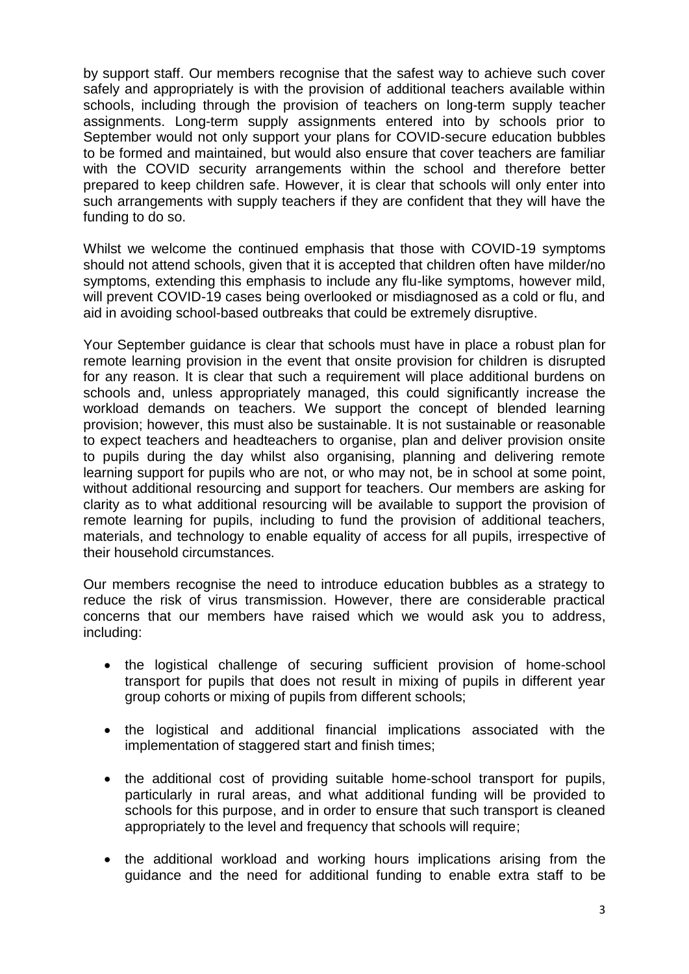by support staff. Our members recognise that the safest way to achieve such cover safely and appropriately is with the provision of additional teachers available within schools, including through the provision of teachers on long-term supply teacher assignments. Long-term supply assignments entered into by schools prior to September would not only support your plans for COVID-secure education bubbles to be formed and maintained, but would also ensure that cover teachers are familiar with the COVID security arrangements within the school and therefore better prepared to keep children safe. However, it is clear that schools will only enter into such arrangements with supply teachers if they are confident that they will have the funding to do so.

Whilst we welcome the continued emphasis that those with COVID-19 symptoms should not attend schools, given that it is accepted that children often have milder/no symptoms, extending this emphasis to include any flu-like symptoms, however mild, will prevent COVID-19 cases being overlooked or misdiagnosed as a cold or flu, and aid in avoiding school-based outbreaks that could be extremely disruptive.

Your September guidance is clear that schools must have in place a robust plan for remote learning provision in the event that onsite provision for children is disrupted for any reason. It is clear that such a requirement will place additional burdens on schools and, unless appropriately managed, this could significantly increase the workload demands on teachers. We support the concept of blended learning provision; however, this must also be sustainable. It is not sustainable or reasonable to expect teachers and headteachers to organise, plan and deliver provision onsite to pupils during the day whilst also organising, planning and delivering remote learning support for pupils who are not, or who may not, be in school at some point, without additional resourcing and support for teachers. Our members are asking for clarity as to what additional resourcing will be available to support the provision of remote learning for pupils, including to fund the provision of additional teachers, materials, and technology to enable equality of access for all pupils, irrespective of their household circumstances.

Our members recognise the need to introduce education bubbles as a strategy to reduce the risk of virus transmission. However, there are considerable practical concerns that our members have raised which we would ask you to address, including:

- the logistical challenge of securing sufficient provision of home-school transport for pupils that does not result in mixing of pupils in different year group cohorts or mixing of pupils from different schools;
- the logistical and additional financial implications associated with the implementation of staggered start and finish times:
- the additional cost of providing suitable home-school transport for pupils, particularly in rural areas, and what additional funding will be provided to schools for this purpose, and in order to ensure that such transport is cleaned appropriately to the level and frequency that schools will require;
- the additional workload and working hours implications arising from the guidance and the need for additional funding to enable extra staff to be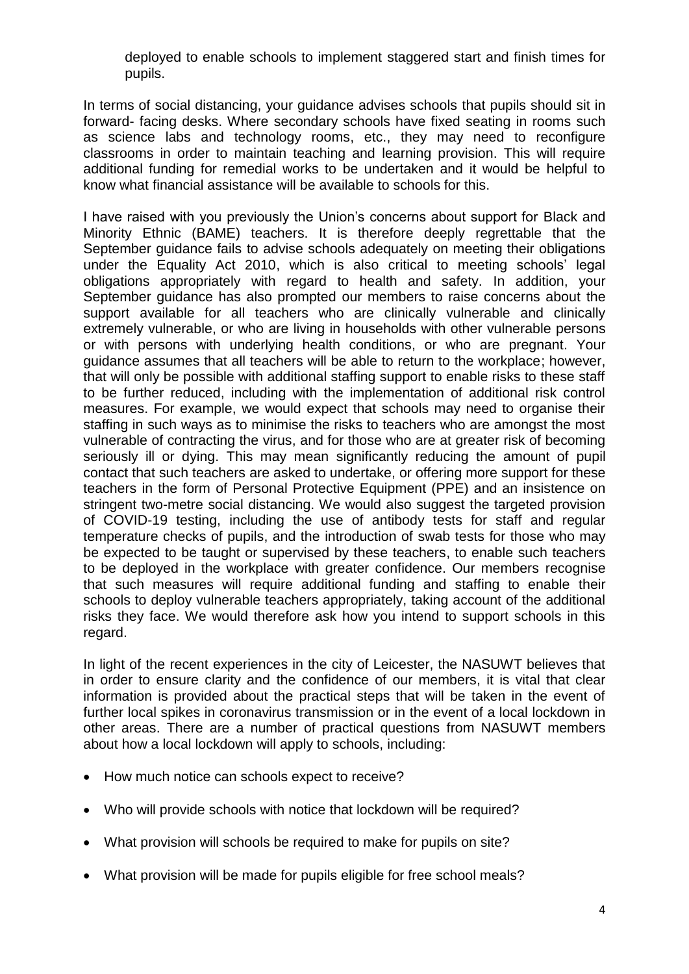deployed to enable schools to implement staggered start and finish times for pupils.

In terms of social distancing, your guidance advises schools that pupils should sit in forward- facing desks. Where secondary schools have fixed seating in rooms such as science labs and technology rooms, etc., they may need to reconfigure classrooms in order to maintain teaching and learning provision. This will require additional funding for remedial works to be undertaken and it would be helpful to know what financial assistance will be available to schools for this.

I have raised with you previously the Union's concerns about support for Black and Minority Ethnic (BAME) teachers. It is therefore deeply regrettable that the September guidance fails to advise schools adequately on meeting their obligations under the Equality Act 2010, which is also critical to meeting schools' legal obligations appropriately with regard to health and safety. In addition, your September guidance has also prompted our members to raise concerns about the support available for all teachers who are clinically vulnerable and clinically extremely vulnerable, or who are living in households with other vulnerable persons or with persons with underlying health conditions, or who are pregnant. Your guidance assumes that all teachers will be able to return to the workplace; however, that will only be possible with additional staffing support to enable risks to these staff to be further reduced, including with the implementation of additional risk control measures. For example, we would expect that schools may need to organise their staffing in such ways as to minimise the risks to teachers who are amongst the most vulnerable of contracting the virus, and for those who are at greater risk of becoming seriously ill or dying. This may mean significantly reducing the amount of pupil contact that such teachers are asked to undertake, or offering more support for these teachers in the form of Personal Protective Equipment (PPE) and an insistence on stringent two-metre social distancing. We would also suggest the targeted provision of COVID-19 testing, including the use of antibody tests for staff and regular temperature checks of pupils, and the introduction of swab tests for those who may be expected to be taught or supervised by these teachers, to enable such teachers to be deployed in the workplace with greater confidence. Our members recognise that such measures will require additional funding and staffing to enable their schools to deploy vulnerable teachers appropriately, taking account of the additional risks they face. We would therefore ask how you intend to support schools in this regard.

In light of the recent experiences in the city of Leicester, the NASUWT believes that in order to ensure clarity and the confidence of our members, it is vital that clear information is provided about the practical steps that will be taken in the event of further local spikes in coronavirus transmission or in the event of a local lockdown in other areas. There are a number of practical questions from NASUWT members about how a local lockdown will apply to schools, including:

- How much notice can schools expect to receive?
- Who will provide schools with notice that lockdown will be required?
- What provision will schools be required to make for pupils on site?
- What provision will be made for pupils eligible for free school meals?